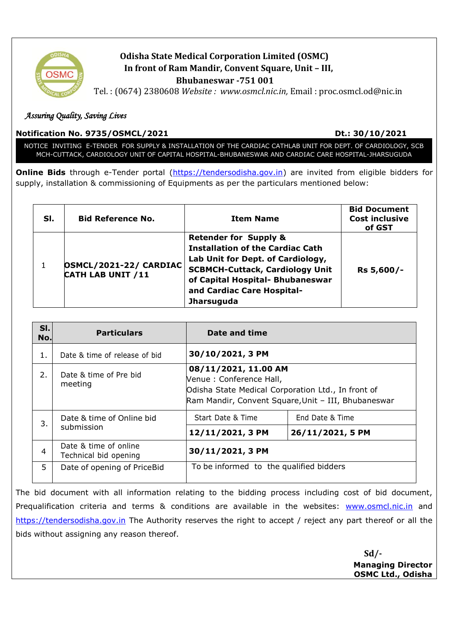

# **Odisha State Medical Corporation Limited (OSMC) In front of Ram Mandir, Convent Square, Unit – III, Bhubaneswar -751 001**

Tel. : (0674) 2380608 *Website : www.osmcl.nic.in,* Email : proc.osmcl.od@nic.in

## *Assuring Quality, Saving Lives*

## **Notification No. 9735/OSMCL/2021 Dt.: 30/10/2021**

NOTICE INVITING E-TENDER FOR SUPPLY & INSTALLATION OF THE CARDIAC CATHLAB UNIT FOR DEPT. OF CARDIOLOGY, SCB MCH-CUTTACK, CARDIOLOGY UNIT OF CAPITAL HOSPITAL-BHUBANESWAR AND CARDIAC CARE HOSPITAL-JHARSUGUDA

**Online Bids** through e-Tender portal [\(https://tendersodisha.gov.in\)](https://tendersodisha.gov.in/) are invited from eligible bidders for supply, installation & commissioning of Equipments as per the particulars mentioned below:

| SI. | <b>Bid Reference No.</b>                           | <b>Item Name</b>                                                                                                                                                                                                                                  | <b>Bid Document</b><br><b>Cost inclusive</b><br>of GST |
|-----|----------------------------------------------------|---------------------------------------------------------------------------------------------------------------------------------------------------------------------------------------------------------------------------------------------------|--------------------------------------------------------|
|     | OSMCL/2021-22/ CARDIAC<br><b>CATH LAB UNIT /11</b> | <b>Retender for Supply &amp;</b><br><b>Installation of the Cardiac Cath</b><br>Lab Unit for Dept. of Cardiology,<br><b>SCBMCH-Cuttack, Cardiology Unit</b><br>of Capital Hospital- Bhubaneswar<br>and Cardiac Care Hospital-<br><b>Jharsuguda</b> | Rs 5,600/-                                             |

| SI.<br>No. | <b>Particulars</b>                             | Date and time                                                                                                                                                 |                  |
|------------|------------------------------------------------|---------------------------------------------------------------------------------------------------------------------------------------------------------------|------------------|
| 1.         | Date & time of release of bid                  | 30/10/2021, 3 PM                                                                                                                                              |                  |
| 2.         | Date & time of Pre bid<br>meeting              | 08/11/2021, 11.00 AM<br>Venue : Conference Hall,<br>Odisha State Medical Corporation Ltd., In front of<br>Ram Mandir, Convent Square, Unit - III, Bhubaneswar |                  |
| 3.         | Date & time of Online bid<br>submission        | Start Date & Time                                                                                                                                             | End Date & Time  |
|            |                                                | 12/11/2021, 3 PM                                                                                                                                              | 26/11/2021, 5 PM |
| 4          | Date & time of online<br>Technical bid opening | 30/11/2021, 3 PM                                                                                                                                              |                  |
| 5.         | Date of opening of PriceBid                    | To be informed to the qualified bidders                                                                                                                       |                  |

The bid document with all information relating to the bidding process including cost of bid document, Prequalification criteria and terms & conditions are available in the websites: [www.osmcl.nic.in](http://www.osmcl.nic.in/) and [https://tendersodisha.gov.in](https://tendersodisha.gov.in/) The Authority reserves the right to accept / reject any part thereof or all the bids without assigning any reason thereof.

> **Sd/- Managing Director OSMC Ltd., Odisha**